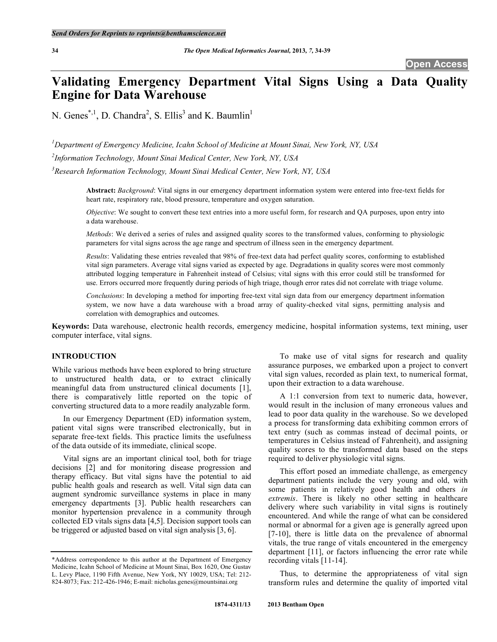# **Validating Emergency Department Vital Signs Using a Data Quality Engine for Data Warehouse**

N. Genes<sup>\*,1</sup>, D. Chandra<sup>2</sup>, S. Ellis<sup>3</sup> and K. Baumlin<sup>1</sup>

*1 Department of Emergency Medicine, Icahn School of Medicine at Mount Sinai, New York, NY, USA 2 Information Technology, Mount Sinai Medical Center, New York, NY, USA 3 Research Information Technology, Mount Sinai Medical Center, New York, NY, USA*

> **Abstract:** *Background*: Vital signs in our emergency department information system were entered into free-text fields for heart rate, respiratory rate, blood pressure, temperature and oxygen saturation.

> *Objective*: We sought to convert these text entries into a more useful form, for research and QA purposes, upon entry into a data warehouse.

> *Methods*: We derived a series of rules and assigned quality scores to the transformed values, conforming to physiologic parameters for vital signs across the age range and spectrum of illness seen in the emergency department.

> *Results*: Validating these entries revealed that 98% of free-text data had perfect quality scores, conforming to established vital sign parameters. Average vital signs varied as expected by age. Degradations in quality scores were most commonly attributed logging temperature in Fahrenheit instead of Celsius; vital signs with this error could still be transformed for use. Errors occurred more frequently during periods of high triage, though error rates did not correlate with triage volume.

> *Conclusions*: In developing a method for importing free-text vital sign data from our emergency department information system, we now have a data warehouse with a broad array of quality-checked vital signs, permitting analysis and correlation with demographics and outcomes.

**Keywords:** Data warehouse, electronic health records, emergency medicine, hospital information systems, text mining, user computer interface, vital signs.

# **INTRODUCTION**

While various methods have been explored to bring structure to unstructured health data, or to extract clinically meaningful data from unstructured clinical documents [1], there is comparatively little reported on the topic of converting structured data to a more readily analyzable form.

In our Emergency Department (ED) information system, patient vital signs were transcribed electronically, but in separate free-text fields. This practice limits the usefulness of the data outside of its immediate, clinical scope.

Vital signs are an important clinical tool, both for triage decisions [2] and for monitoring disease progression and therapy efficacy. But vital signs have the potential to aid public health goals and research as well. Vital sign data can augment syndromic surveillance systems in place in many emergency departments [3]. Public health researchers can monitor hypertension prevalence in a community through collected ED vitals signs data [4,5]. Decision support tools can be triggered or adjusted based on vital sign analysis [3, 6].

To make use of vital signs for research and quality assurance purposes, we embarked upon a project to convert vital sign values, recorded as plain text, to numerical format, upon their extraction to a data warehouse.

A 1:1 conversion from text to numeric data, however, would result in the inclusion of many erroneous values and lead to poor data quality in the warehouse. So we developed a process for transforming data exhibiting common errors of text entry (such as commas instead of decimal points, or temperatures in Celsius instead of Fahrenheit), and assigning quality scores to the transformed data based on the steps required to deliver physiologic vital signs.

This effort posed an immediate challenge, as emergency department patients include the very young and old, with some patients in relatively good health and others *in extremis*. There is likely no other setting in healthcare delivery where such variability in vital signs is routinely encountered. And while the range of what can be considered normal or abnormal for a given age is generally agreed upon [7-10], there is little data on the prevalence of abnormal vitals, the true range of vitals encountered in the emergency department [11], or factors influencing the error rate while recording vitals [11-14].

Thus, to determine the appropriateness of vital sign transform rules and determine the quality of imported vital

<sup>\*</sup>Address correspondence to this author at the Department of Emergency Medicine, Icahn School of Medicine at Mount Sinai, Box 1620, One Gustav L. Levy Place, 1190 Fifth Avenue, New York, NY 10029, USA; Tel: 212- 824-8073; Fax: 212-426-1946; E-mail: nicholas.genes@mountsinai.org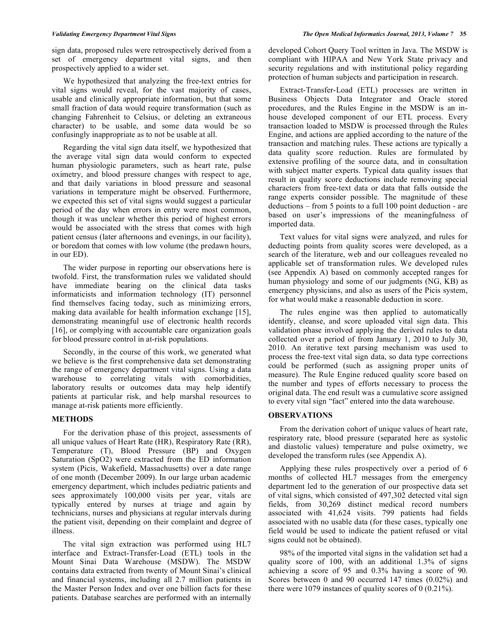sign data, proposed rules were retrospectively derived from a set of emergency department vital signs, and then prospectively applied to a wider set.

We hypothesized that analyzing the free-text entries for vital signs would reveal, for the vast majority of cases, usable and clinically appropriate information, but that some small fraction of data would require transformation (such as changing Fahrenheit to Celsius, or deleting an extraneous character) to be usable, and some data would be so confusingly inappropriate as to not be usable at all.

Regarding the vital sign data itself, we hypothesized that the average vital sign data would conform to expected human physiologic parameters, such as heart rate, pulse oximetry, and blood pressure changes with respect to age, and that daily variations in blood pressure and seasonal variations in temperature might be observed. Furthermore, we expected this set of vital signs would suggest a particular period of the day when errors in entry were most common, though it was unclear whether this period of highest errors would be associated with the stress that comes with high patient census (later afternoons and evenings, in our facility), or boredom that comes with low volume (the predawn hours, in our ED).

The wider purpose in reporting our observations here is twofold. First, the transformation rules we validated should have immediate bearing on the clinical data tasks informaticists and information technology (IT) personnel find themselves facing today, such as minimizing errors, making data available for health information exchange [15], demonstrating meaningful use of electronic health records [16], or complying with accountable care organization goals for blood pressure control in at-risk populations.

Secondly, in the course of this work, we generated what we believe is the first comprehensive data set demonstrating the range of emergency department vital signs. Using a data warehouse to correlating vitals with comorbidities, laboratory results or outcomes data may help identify patients at particular risk, and help marshal resources to manage at-risk patients more efficiently.

# **METHODS**

For the derivation phase of this project, assessments of all unique values of Heart Rate (HR), Respiratory Rate (RR), Temperature (T), Blood Pressure (BP) and Oxygen Saturation (SpO2) were extracted from the ED information system (Picis, Wakefield, Massachusetts) over a date range of one month (December 2009). In our large urban academic emergency department, which includes pediatric patients and sees approximately 100,000 visits per year, vitals are typically entered by nurses at triage and again by technicians, nurses and physicians at regular intervals during the patient visit, depending on their complaint and degree of illness.

The vital sign extraction was performed using HL7 interface and Extract-Transfer-Load (ETL) tools in the Mount Sinai Data Warehouse (MSDW). The MSDW contains data extracted from twenty of Mount Sinai's clinical and financial systems, including all 2.7 million patients in the Master Person Index and over one billion facts for these patients. Database searches are performed with an internally

developed Cohort Query Tool written in Java. The MSDW is compliant with HIPAA and New York State privacy and security regulations and with institutional policy regarding protection of human subjects and participation in research.

Extract-Transfer-Load (ETL) processes are written in Business Objects Data Integrator and Oracle stored procedures, and the Rules Engine in the MSDW is an inhouse developed component of our ETL process. Every transaction loaded to MSDW is processed through the Rules Engine, and actions are applied according to the nature of the transaction and matching rules. These actions are typically a data quality score reduction. Rules are formulated by extensive profiling of the source data, and in consultation with subject matter experts. Typical data quality issues that result in quality score deductions include removing special characters from free-text data or data that falls outside the range experts consider possible. The magnitude of these deductions – from 5 points to a full 100 point deduction - are based on user's impressions of the meaningfulness of imported data.

Text values for vital signs were analyzed, and rules for deducting points from quality scores were developed, as a search of the literature, web and our colleagues revealed no applicable set of transformation rules. We developed rules (see Appendix A) based on commonly accepted ranges for human physiology and some of our judgments (NG, KB) as emergency physicians, and also as users of the Picis system, for what would make a reasonable deduction in score.

The rules engine was then applied to automatically identify, cleanse, and score uploaded vital sign data. This validation phase involved applying the derived rules to data collected over a period of from January 1, 2010 to July 30, 2010. An iterative text parsing mechanism was used to process the free-text vital sign data, so data type corrections could be performed (such as assigning proper units of measure). The Rule Engine reduced quality score based on the number and types of efforts necessary to process the original data. The end result was a cumulative score assigned to every vital sign "fact" entered into the data warehouse.

## **OBSERVATIONS**

From the derivation cohort of unique values of heart rate, respiratory rate, blood pressure (separated here as systolic and diastolic values) temperature and pulse oximetry, we developed the transform rules (see Appendix A).

Applying these rules prospectively over a period of 6 months of collected HL7 messages from the emergency department led to the generation of our prospective data set of vital signs, which consisted of 497,302 detected vital sign fields, from 30,269 distinct medical record numbers associated with 41,624 visits. 799 patients had fields associated with no usable data (for these cases, typically one field would be used to indicate the patient refused or vital signs could not be obtained).

98% of the imported vital signs in the validation set had a quality score of 100, with an additional 1.3% of signs achieving a score of 95 and 0.3% having a score of 90. Scores between 0 and 90 occurred 147 times (0.02%) and there were 1079 instances of quality scores of 0 (0.21%).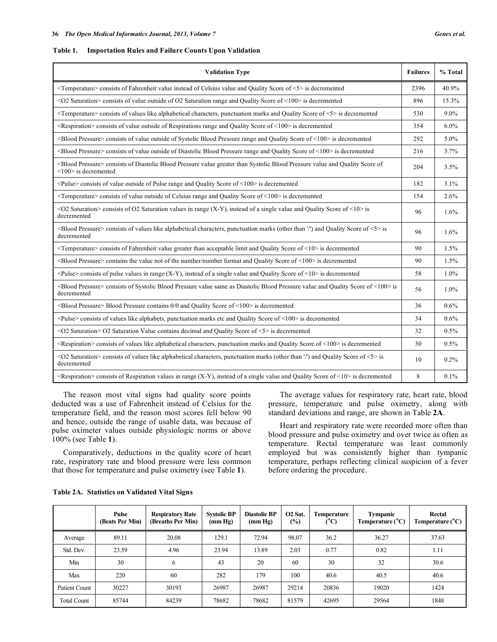#### **Table 1. Importation Rules and Failure Counts Upon Validation**

| <b>Validation Type</b>                                                                                                                                                          | <b>Failures</b> | % Total |
|---------------------------------------------------------------------------------------------------------------------------------------------------------------------------------|-----------------|---------|
| <temperature> consists of Fahrenheit value instead of Celsius value and Quality Score of &lt;5&gt; is decremented</temperature>                                                 | 2396            | 40.9%   |
| <02 Saturation> consists of value outside of O2 Saturation range and Quality Score of <100> is decremented                                                                      | 896             | 15.3%   |
| $\leq$ Temperature> consists of values like alphabetical characters, punctuation marks and Quality Score of $\leq$ is decremented                                               | 530             | $9.0\%$ |
| $\leq$ Respiration $\geq$ consists of value outside of Respirations range and Quality Score of $\leq$ 100 $\geq$ is decremented                                                 | 354             | $6.0\%$ |
| <blood pressure=""> consists of value outside of Systolic Blood Pressure range and Quality Score of &lt;100&gt; is decremented</blood>                                          | 292             | 5.0%    |
| <blood pressure=""> consists of value outside of Diastolic Blood Pressure range and Quality Score of &lt;100&gt; is decremented</blood>                                         | 216             | 3.7%    |
| <blood pressure=""> consists of Diastolic Blood Pressure value greater than Systolic Blood Pressure value and Quality Score of<br/><math>\leq 100</math> is decremented</blood> | 204             | 3.5%    |
| $\langle$ Pulse $\rangle$ consists of value outside of Pulse range and Quality Score of $\langle$ 100 $\rangle$ is decremented                                                  | 182             | 3.1%    |
| <temperature> consists of value outside of Celsius range and Quality Score of &lt;100&gt; is decremented</temperature>                                                          | 154             | 2.6%    |
| <02 Saturation> consists of O2 Saturation values in range $(X-Y)$ , instead of a single value and Quality Score of <10> is<br>decremented                                       | 96              | 1.6%    |
| <blood pressure=""> consists of values like alphabetical characters, punctuation marks (other than '/') and Quality Score of &lt;5&gt; is<br/>decremented</blood>               | 96              | 1.6%    |
| <temperature> consists of Fahrenheit value greater than acceptable limit and Quality Score of &lt;10&gt; is decremented</temperature>                                           | 90              | 1.5%    |
| <blood pressure=""> contains the value not of the number/number format and Quality Score of &lt;100&gt; is decremented</blood>                                                  | 90              | 1.5%    |
| <pulse> consists of pulse values in range <math>(X-Y)</math>, instead of a single value and Quality Score of &lt;10&gt; is decremented</pulse>                                  | 58              | 1.0%    |
| <blood pressure=""> consists of Systolic Blood Pressure value same as Diastolic Blood Pressure value and Quality Score of &lt;100&gt; is<br/>decremented</blood>                | 56              | 1.0%    |
| <blood pressure=""> Blood Pressure contains 0/0 and Quality Score of &lt;100&gt; is decremented</blood>                                                                         | 36              | 0.6%    |
| $\leq$ Pulse $\geq$ consists of values like alphabets, punctuation marks etc and Quality Score of $\leq$ 100 $\geq$ is decremented                                              | 34              | 0.6%    |
| <02 Saturation> O2 Saturation Value contains decimal and Quality Score of <5> is decremented                                                                                    | 32              | 0.5%    |
| <respiration> consists of values like alphabetical characters, punctuation marks and Quality Score of &lt;100&gt; is decremented</respiration>                                  | 30              | 0.5%    |
| <02 Saturation> consists of values like alphabetical characters, punctuation marks (other than '/') and Quality Score of <5> is<br>decremented                                  | 10              | 0.2%    |
| <respiration> consists of Respiration values in range (X-Y), instead of a single value and Quality Score of &lt;10&gt; is decremented</respiration>                             | 8               | 0.1%    |

The reason most vital signs had quality score points deducted was a use of Fahrenheit instead of Celsius for the temperature field, and the reason most scores fell below 90 and hence, outside the range of usable data, was because of pulse oximeter values outside physiologic norms or above 100% (see Table **1**).

Comparatively, deductions in the quality score of heart rate, respiratory rate and blood pressure were less common that those for temperature and pulse oximetry (see Table **1**).

The average values for respiratory rate, heart rate, blood pressure, temperature and pulse oximetry, along with standard deviations and range, are shown in Table **2A**.

Heart and respiratory rate were recorded more often than blood pressure and pulse oximetry and over twice as often as temperature. Rectal temperature was least commonly employed but was consistently higher than tympanic temperature, perhaps reflecting clinical suspicion of a fever before ordering the procedure.

|                    | Pulse<br>(Beats Per Min) | <b>Respiratory Rate</b><br>(Breaths Per Min) | <b>Systolic BP</b><br>(mm Hg) | <b>Diastolic BP</b><br>(mm Hg) | O <sub>2</sub> Sat.<br>$(\%)$ | <b>Temperature</b><br>(°C) | <b>Tympanic</b><br>Temperature $(^{\circ}C)$ | Rectal<br>Temperature $(^{\circ}C)$ |
|--------------------|--------------------------|----------------------------------------------|-------------------------------|--------------------------------|-------------------------------|----------------------------|----------------------------------------------|-------------------------------------|
| Average            | 89.11                    | 20.08                                        | 129.1                         | 72.94                          | 98.07                         | 36.2                       | 36.27                                        | 37.63                               |
| Std. Dev.          | 23.59                    | 4.96                                         | 23.94                         | 13.89                          | 2.03                          | 0.77                       | 0.82                                         | 1.11                                |
| Min                | 30                       | 6                                            | 43                            | 20                             | 60                            | 30                         | 32                                           | 30.6                                |
| Max                | 220                      | 60                                           | 282                           | 179                            | 100                           | 40.6                       | 40.5                                         | 40.6                                |
| Patient Count      | 30227                    | 30193                                        | 26987                         | 26987                          | 29214                         | 20836                      | 19020                                        | 1424                                |
| <b>Total Count</b> | 85744                    | 84239                                        | 78682                         | 78682                          | 81579                         | 42695                      | 29564                                        | 1848                                |

# **Table 2A. Statistics on Validated Vital Signs**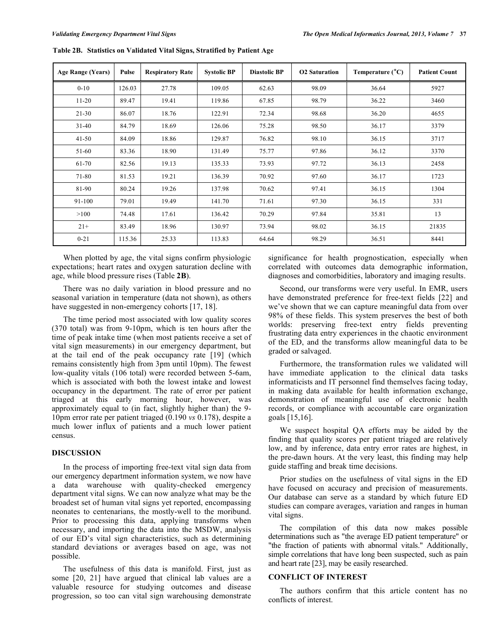| <b>Age Range (Years)</b> | Pulse  | <b>Respiratory Rate</b> | <b>Systolic BP</b> | <b>Diastolic BP</b> | <b>O2</b> Saturation | Temperature $(^{\circ}C)$ | <b>Patient Count</b> |
|--------------------------|--------|-------------------------|--------------------|---------------------|----------------------|---------------------------|----------------------|
| $0 - 10$                 | 126.03 | 27.78                   | 109.05             | 62.63               | 98.09                | 36.64                     | 5927                 |
| $11 - 20$                | 89.47  | 19.41                   | 119.86             | 67.85               | 98.79                | 36.22                     | 3460                 |
| $21 - 30$                | 86.07  | 18.76                   | 122.91             | 72.34               | 98.68                | 36.20                     | 4655                 |
| $31 - 40$                | 84.79  | 18.69                   | 126.06             | 75.28               | 98.50                | 36.17                     | 3379                 |
| $41 - 50$                | 84.09  | 18.86                   | 129.87             | 76.82               | 98.10                | 36.15                     | 3717                 |
| 51-60                    | 83.36  | 18.90                   | 131.49             | 75.77               | 97.86                | 36.12                     | 3370                 |
| 61-70                    | 82.56  | 19.13                   | 135.33             | 73.93               | 97.72                | 36.13                     | 2458                 |
| 71-80                    | 81.53  | 19.21                   | 136.39             | 70.92               | 97.60                | 36.17                     | 1723                 |
| 81-90                    | 80.24  | 19.26                   | 137.98             | 70.62               | 97.41                | 36.15                     | 1304                 |
| 91-100                   | 79.01  | 19.49                   | 141.70             | 71.61               | 97.30                | 36.15                     | 331                  |
| >100                     | 74.48  | 17.61                   | 136.42             | 70.29               | 97.84                | 35.81                     | 13                   |
| $21+$                    | 83.49  | 18.96                   | 130.97             | 73.94               | 98.02                | 36.15                     | 21835                |
| $0 - 21$                 | 115.36 | 25.33                   | 113.83             | 64.64               | 98.29                | 36.51                     | 8441                 |

**Table 2B. Statistics on Validated Vital Signs, Stratified by Patient Age**

When plotted by age, the vital signs confirm physiologic expectations; heart rates and oxygen saturation decline with age, while blood pressure rises (Table **2B**).

There was no daily variation in blood pressure and no seasonal variation in temperature (data not shown), as others have suggested in non-emergency cohorts [17, 18].

The time period most associated with low quality scores (370 total) was from 9-10pm, which is ten hours after the time of peak intake time (when most patients receive a set of vital sign measurements) in our emergency department, but at the tail end of the peak occupancy rate [19] (which remains consistently high from 3pm until 10pm). The fewest low-quality vitals (106 total) were recorded between 5-6am, which is associated with both the lowest intake and lowest occupancy in the department. The rate of error per patient triaged at this early morning hour, however, was approximately equal to (in fact, slightly higher than) the 9- 10pm error rate per patient triaged (0.190 *vs* 0.178), despite a much lower influx of patients and a much lower patient census.

## **DISCUSSION**

In the process of importing free-text vital sign data from our emergency department information system, we now have a data warehouse with quality-checked emergency department vital signs. We can now analyze what may be the broadest set of human vital signs yet reported, encompassing neonates to centenarians, the mostly-well to the moribund. Prior to processing this data, applying transforms when necessary, and importing the data into the MSDW, analysis of our ED's vital sign characteristics, such as determining standard deviations or averages based on age, was not possible.

The usefulness of this data is manifold. First, just as some [20, 21] have argued that clinical lab values are a valuable resource for studying outcomes and disease progression, so too can vital sign warehousing demonstrate significance for health prognostication, especially when correlated with outcomes data demographic information, diagnoses and comorbidities, laboratory and imaging results.

Second, our transforms were very useful. In EMR, users have demonstrated preference for free-text fields [22] and we've shown that we can capture meaningful data from over 98% of these fields. This system preserves the best of both worlds: preserving free-text entry fields preventing frustrating data entry experiences in the chaotic environment of the ED, and the transforms allow meaningful data to be graded or salvaged.

Furthermore, the transformation rules we validated will have immediate application to the clinical data tasks informaticists and IT personnel find themselves facing today, in making data available for health information exchange, demonstration of meaningful use of electronic health records, or compliance with accountable care organization goals [15,16].

We suspect hospital QA efforts may be aided by the finding that quality scores per patient triaged are relatively low, and by inference, data entry error rates are highest, in the pre-dawn hours. At the very least, this finding may help guide staffing and break time decisions.

Prior studies on the usefulness of vital signs in the ED have focused on accuracy and precision of measurements. Our database can serve as a standard by which future ED studies can compare averages, variation and ranges in human vital signs.

The compilation of this data now makes possible determinations such as "the average ED patient temperature" or "the fraction of patients with abnormal vitals." Additionally, simple correlations that have long been suspected, such as pain and heart rate [23], may be easily researched.

# **CONFLICT OF INTEREST**

The authors confirm that this article content has no conflicts of interest.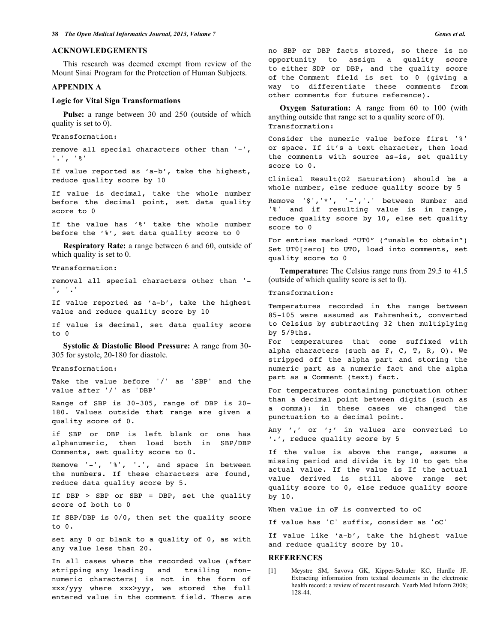### **ACKNOWLEDGEMENTS**

This research was deemed exempt from review of the Mount Sinai Program for the Protection of Human Subjects.

#### **APPENDIX A**

#### **Logic for Vital Sign Transformations**

**Pulse:** a range between 30 and 250 (outside of which quality is set to 0).

Transformation:

remove all special characters other than '-', '.', '%'

If value reported as 'a-b', take the highest, reduce quality score by 10

If value is decimal, take the whole number before the decimal point, set data quality score to 0

If the value has '%' take the whole number before the '%', set data quality score to 0

**Respiratory Rate:** a range between 6 and 60, outside of which quality is set to 0.

Transformation:

removal all special characters other than '- ', '.'

If value reported as 'a-b', take the highest value and reduce quality score by 10

If value is decimal, set data quality score  $\pm 0.0$ 

**Systolic & Diastolic Blood Pressure:** A range from 30- 305 for systole, 20-180 for diastole.

#### Transformation:

Take the value before '/' as 'SBP' and the value after '/' as 'DBP'

Range of SBP is 30-305, range of DBP is 20- 180. Values outside that range are given a quality score of 0.

if SBP or DBP is left blank or one has alphanumeric, then load both in SBP/DBP Comments, set quality score to 0.

Remove '-', '%', '.', and space in between the numbers. If these characters are found, reduce data quality score by 5.

If DBP > SBP or SBP = DBP, set the quality score of both to 0

If SBP/DBP is 0/0, then set the quality score to 0.

set any 0 or blank to a quality of 0, as with any value less than 20.

In all cases where the recorded value (after stripping any leading and trailing nonnumeric characters) is not in the form of xxx/yyy where xxx>yyy, we stored the full entered value in the comment field. There are

no SBP or DBP facts stored, so there is no opportunity to assign a quality score to either SDP or DBP, and the quality score of the Comment field is set to 0 (giving a way to differentiate these comments from other comments for future reference).

**Oxygen Saturation:** A range from 60 to 100 (with anything outside that range set to a quality score of 0). Transformation:

Consider the numeric value before first '%' or space. If it's a text character, then load the comments with source as-is, set quality score to 0.

Clinical Result(O2 Saturation) should be a whole number, else reduce quality score by 5

Remove '\$','\*', '-','.' between Number and '%' and if resulting value is in range, reduce quality score by 10, else set quality score to 0

For entries marked "UT0" ("unable to obtain") Set UT0[zero] to UTO, load into comments, set quality score to 0

**Temperature:** The Celsius range runs from 29.5 to 41.5 (outside of which quality score is set to 0).

Transformation:

Temperatures recorded in the range between 85-105 were assumed as Fahrenheit, converted to Celsius by subtracting 32 then multiplying by 5/9ths.

For temperatures that come suffixed with alpha characters (such as F, C, T, R, O). We stripped off the alpha part and storing the numeric part as a numeric fact and the alpha part as a Comment (text) fact.

For temperatures containing punctuation other than a decimal point between digits (such as a comma): in these cases we changed the punctuation to a decimal point.

Any ',' or ';' in values are converted to '.', reduce quality score by 5

If the value is above the range, assume a missing period and divide it by 10 to get the actual value. If the value is If the actual value derived is still above range set quality score to 0, else reduce quality score by 10.

When value in oF is converted to oC

If value has 'C' suffix, consider as 'oC'

If value like 'a-b', take the highest value and reduce quality score by 10.

#### **REFERENCES**

[1] Meystre SM, Savova GK, Kipper-Schuler KC, Hurdle JF. Extracting information from textual documents in the electronic health record: a review of recent research. Yearb Med Inform 2008; 128-44.